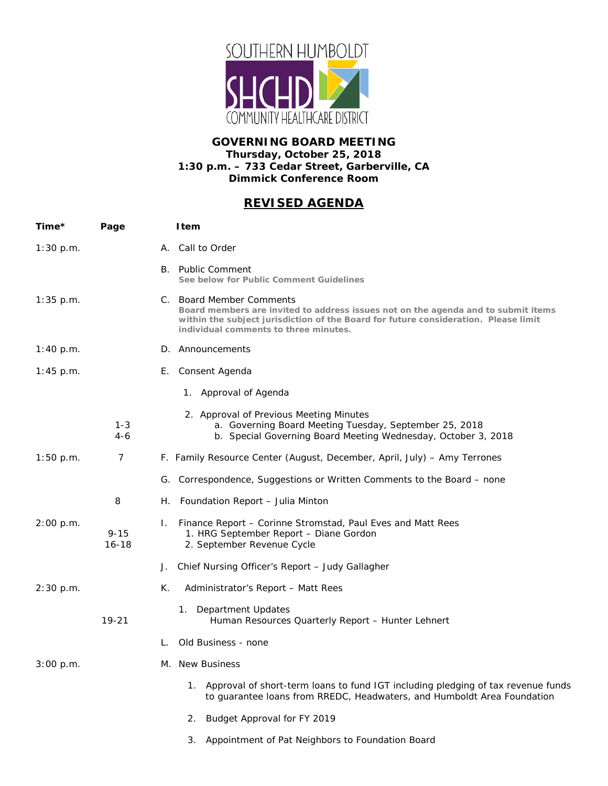

## **GOVERNING BOARD MEETING Thursday, October 25, 2018 1:30 p.m. – 733 Cedar Street, Garberville, CA Dimmick Conference Room**

## *REVISED AGENDA*

| Time*       | Page                  |    | <b>I</b> tem                                                                                                                                                                                                                                  |
|-------------|-----------------------|----|-----------------------------------------------------------------------------------------------------------------------------------------------------------------------------------------------------------------------------------------------|
| 1:30 p.m.   |                       |    | A. Call to Order                                                                                                                                                                                                                              |
|             |                       |    | B. Public Comment<br>See below for Public Comment Guidelines                                                                                                                                                                                  |
| $1:35$ p.m. |                       |    | C. Board Member Comments<br>Board members are invited to address issues not on the agenda and to submit items<br>within the subject jurisdiction of the Board for future consideration. Please limit<br>individual comments to three minutes. |
| 1:40 p.m.   |                       |    | D. Announcements                                                                                                                                                                                                                              |
| $1:45$ p.m. |                       |    | E. Consent Agenda                                                                                                                                                                                                                             |
|             |                       |    | 1. Approval of Agenda                                                                                                                                                                                                                         |
|             | $1 - 3$<br>$4-6$      |    | 2. Approval of Previous Meeting Minutes<br>a. Governing Board Meeting Tuesday, September 25, 2018<br>b. Special Governing Board Meeting Wednesday, October 3, 2018                                                                            |
| 1:50 p.m.   | 7                     |    | F. Family Resource Center (August, December, April, July) – Amy Terrones                                                                                                                                                                      |
|             |                       |    | G. Correspondence, Suggestions or Written Comments to the Board – none                                                                                                                                                                        |
|             | 8                     | Н. | Foundation Report - Julia Minton                                                                                                                                                                                                              |
| 2:00 p.m.   | $9 - 15$<br>$16 - 18$ | Ι. | Finance Report – Corinne Stromstad, Paul Eves and Matt Rees<br>1. HRG September Report - Diane Gordon<br>2. September Revenue Cycle                                                                                                           |
|             |                       | J. | Chief Nursing Officer's Report - Judy Gallagher                                                                                                                                                                                               |
| 2:30 p.m.   |                       | К. | Administrator's Report - Matt Rees                                                                                                                                                                                                            |
|             | $19 - 21$             |    | Department Updates<br>1.<br>Human Resources Quarterly Report - Hunter Lehnert                                                                                                                                                                 |
|             |                       |    | Old Business - none                                                                                                                                                                                                                           |
| 3:00 p.m.   |                       |    | M. New Business                                                                                                                                                                                                                               |
|             |                       |    | 1. Approval of short-term loans to fund IGT including pledging of tax revenue funds<br>to guarantee loans from RREDC, Headwaters, and Humboldt Area Foundation                                                                                |
|             |                       |    | Budget Approval for FY 2019<br>2.                                                                                                                                                                                                             |
|             |                       |    | Appointment of Pat Neighbors to Foundation Board<br>3.                                                                                                                                                                                        |